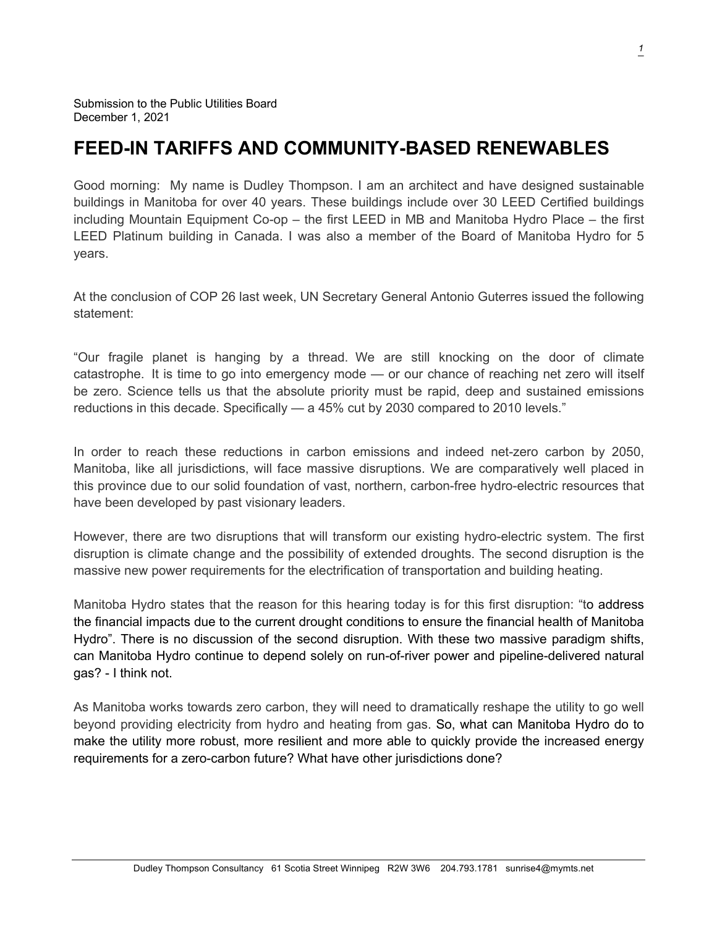## **FEED-IN TARIFFS AND COMMUNITY-BASED RENEWABLES**

Good morning: My name is Dudley Thompson. I am an architect and have designed sustainable buildings in Manitoba for over 40 years. These buildings include over 30 LEED Certified buildings including Mountain Equipment Co-op – the first LEED in MB and Manitoba Hydro Place – the first LEED Platinum building in Canada. I was also a member of the Board of Manitoba Hydro for 5 years.

At the conclusion of COP 26 last week, UN Secretary General Antonio Guterres issued the following statement:

"Our fragile planet is hanging by a thread. We are still knocking on the door of climate catastrophe. It is time to go into emergency mode — or our chance of reaching net zero will itself be zero. Science tells us that the absolute priority must be rapid, deep and sustained emissions reductions in this decade. Specifically — a 45% cut by 2030 compared to 2010 levels."

In order to reach these reductions in carbon emissions and indeed net-zero carbon by 2050, Manitoba, like all jurisdictions, will face massive disruptions. We are comparatively well placed in this province due to our solid foundation of vast, northern, carbon-free hydro-electric resources that have been developed by past visionary leaders.

However, there are two disruptions that will transform our existing hydro-electric system. The first disruption is climate change and the possibility of extended droughts. The second disruption is the massive new power requirements for the electrification of transportation and building heating.

Manitoba Hydro states that the reason for this hearing today is for this first disruption: "to address the financial impacts due to the current drought conditions to ensure the financial health of Manitoba Hydro". There is no discussion of the second disruption. With these two massive paradigm shifts, can Manitoba Hydro continue to depend solely on run-of-river power and pipeline-delivered natural gas? - I think not.

As Manitoba works towards zero carbon, they will need to dramatically reshape the utility to go well beyond providing electricity from hydro and heating from gas. So, what can Manitoba Hydro do to make the utility more robust, more resilient and more able to quickly provide the increased energy requirements for a zero-carbon future? What have other jurisdictions done?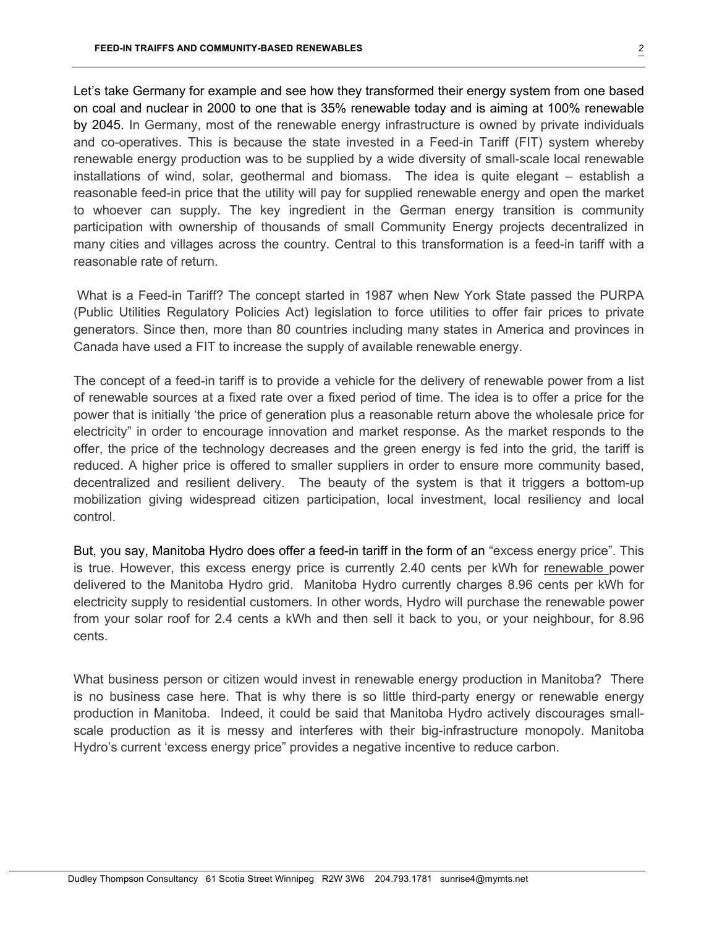Let's take Germany for example and see how they transformed their energy system from one based on coal and nuclear in 2000 to one that is 35% renewable today and is aiming at 100% renewable by 2045. In Germany, most of the renewable energy infrastructure is owned by private individuals and co-operatives. This is because the state invested in a Feed-in Tariff (FIT) system whereby renewable energy production was to be supplied by a wide diversity of small-scale local renewable installations of wind, solar, geothermal and biomass. The idea is quite elegant – establish a reasonable feed-in price that the utility will pay for supplied renewable energy and open the market to whoever can supply. The key ingredient in the German energy transition is community participation with ownership of thousands of small Community Energy projects decentralized in many cities and villages across the country. Central to this transformation is a feed-in tariff with a reasonable rate of return.

What is a Feed-in Tariff? The concept started in 1987 when New York State passed the PURPA (Public Utilities Regulatory Policies Act) legislation to force utilities to offer fair prices to private generators. Since then, more than 80 countries including many states in America and provinces in Canada have used a FIT to increase the supply of available renewable energy.

The concept of a feed-in tariff is to provide a vehicle for the delivery of renewable power from a list of renewable sources at a fixed rate over a fixed period of time. The idea is to offer a price for the power that is initially 'the price of generation plus a reasonable return above the wholesale price for electricity" in order to encourage innovation and market response. As the market responds to the offer, the price of the technology decreases and the green energy is fed into the grid, the tariff is reduced. A higher price is offered to smaller suppliers in order to ensure more community based, decentralized and resilient delivery. The beauty of the system is that it triggers a bottom-up mobilization giving widespread citizen participation, local investment, local resiliency and local control.

But, you say, Manitoba Hydro does offer a feed-in tariff in the form of an "excess energy price". This is true. However, this excess energy price is currently 2.40 cents per kWh for renewable power delivered to the Manitoba Hydro grid. Manitoba Hydro currently charges 8.96 cents per kWh for electricity supply to residential customers. In other words, Hydro will purchase the renewable power from your solar roof for 2.4 cents a kWh and then sell it back to you, or your neighbour, for 8.96 cents.

What business person or citizen would invest in renewable energy production in Manitoba? There is no business case here. That is why there is so little third-party energy or renewable energy production in Manitoba. Indeed, it could be said that Manitoba Hydro actively discourages smallscale production as it is messy and interferes with their big-infrastructure monopoly. Manitoba Hydro's current 'excess energy price" provides a negative incentive to reduce carbon.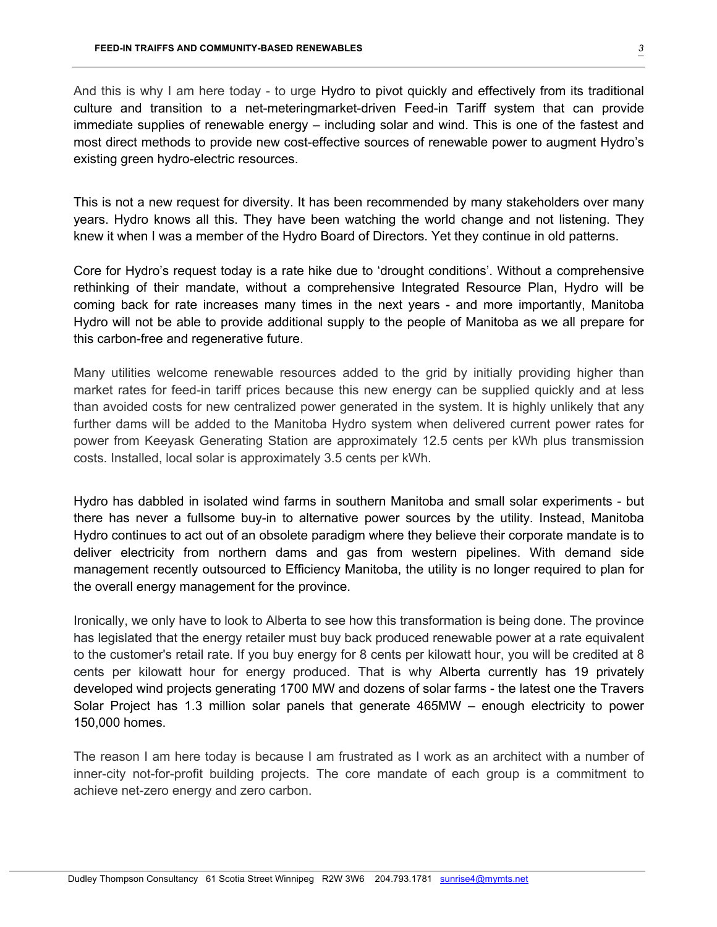And this is why I am here today - to urge Hydro to pivot quickly and effectively from its traditional culture and transition to a net-meteringmarket-driven Feed-in Tariff system that can provide immediate supplies of renewable energy – including solar and wind. This is one of the fastest and most direct methods to provide new cost-effective sources of renewable power to augment Hydro's existing green hydro-electric resources.

This is not a new request for diversity. It has been recommended by many stakeholders over many years. Hydro knows all this. They have been watching the world change and not listening. They knew it when I was a member of the Hydro Board of Directors. Yet they continue in old patterns.

Core for Hydro's request today is a rate hike due to 'drought conditions'. Without a comprehensive rethinking of their mandate, without a comprehensive Integrated Resource Plan, Hydro will be coming back for rate increases many times in the next years - and more importantly, Manitoba Hydro will not be able to provide additional supply to the people of Manitoba as we all prepare for this carbon-free and regenerative future.

Many utilities welcome renewable resources added to the grid by initially providing higher than market rates for feed-in tariff prices because this new energy can be supplied quickly and at less than avoided costs for new centralized power generated in the system. It is highly unlikely that any further dams will be added to the Manitoba Hydro system when delivered current power rates for power from Keeyask Generating Station are approximately 12.5 cents per kWh plus transmission costs. Installed, local solar is approximately 3.5 cents per kWh.

Hydro has dabbled in isolated wind farms in southern Manitoba and small solar experiments - but there has never a fullsome buy-in to alternative power sources by the utility. Instead, Manitoba Hydro continues to act out of an obsolete paradigm where they believe their corporate mandate is to deliver electricity from northern dams and gas from western pipelines. With demand side management recently outsourced to Efficiency Manitoba, the utility is no longer required to plan for the overall energy management for the province.

Ironically, we only have to look to Alberta to see how this transformation is being done. The province has legislated that the energy retailer must buy back produced renewable power at a rate equivalent to the customer's retail rate. If you buy energy for 8 cents per kilowatt hour, you will be credited at 8 cents per kilowatt hour for energy produced. That is why Alberta currently has 19 privately developed wind projects generating 1700 MW and dozens of solar farms - the latest one the Travers Solar Project has 1.3 million solar panels that generate 465MW – enough electricity to power 150,000 homes.

The reason I am here today is because I am frustrated as I work as an architect with a number of inner-city not-for-profit building projects. The core mandate of each group is a commitment to achieve net-zero energy and zero carbon.